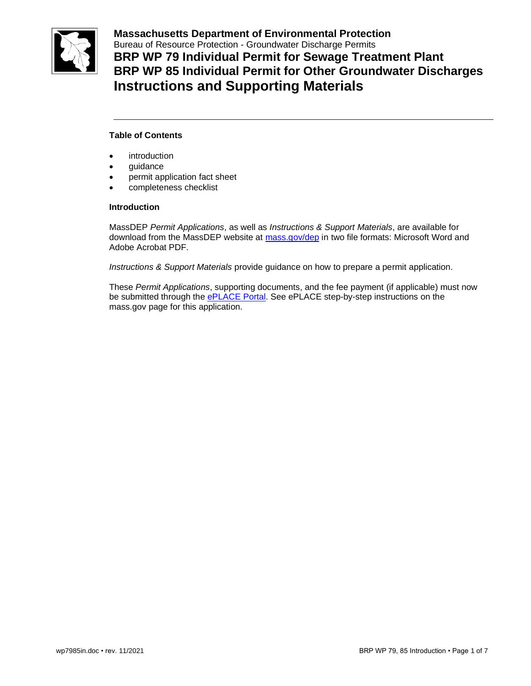

**Massachusetts Department of Environmental Protection**  Bureau of Resource Protection - Groundwater Discharge Permits **BRP WP 79 Individual Permit for Sewage Treatment Plant BRP WP 85 Individual Permit for Other Groundwater Discharges Instructions and Supporting Materials**

# **Table of Contents**

- introduction
- guidance
- permit application fact sheet
- completeness checklist

### **Introduction**

MassDEP *Permit Applications*, as well as *Instructions & Support Materials*, are available for download from the MassDEP website at [mass.gov/dep](https://www.mass.gov/dep) in two file formats: Microsoft Word and Adobe Acrobat PDF.

*Instructions & Support Materials* provide guidance on how to prepare a permit application.

These *Permit Applications*, supporting documents, and the fee payment (if applicable) must now be submitted through the [ePLACE Portal.](https://eplace.eea.mass.gov/citizenaccess/Default.aspx) See ePLACE step-by-step instructions on the mass.gov page for this application.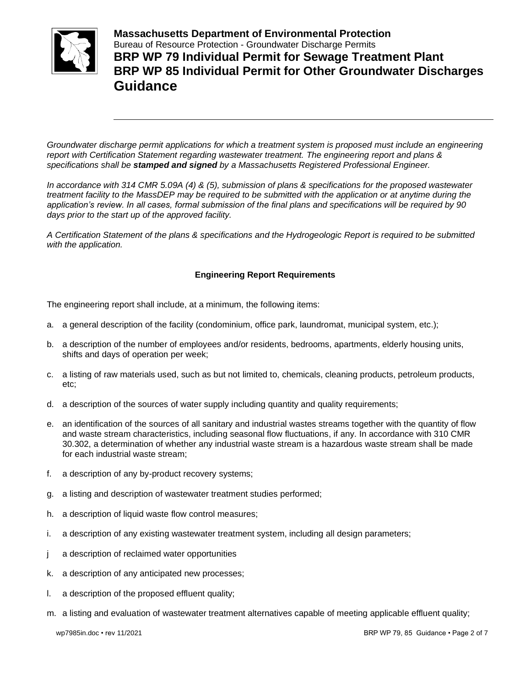

**Massachusetts Department of Environmental Protection**  Bureau of Resource Protection - Groundwater Discharge Permits **BRP WP 79 Individual Permit for Sewage Treatment Plant BRP WP 85 Individual Permit for Other Groundwater Discharges Guidance**

*Groundwater discharge permit applications for which a treatment system is proposed must include an engineering report with Certification Statement regarding wastewater treatment. The engineering report and plans & specifications shall be stamped and signed by a Massachusetts Registered Professional Engineer.*

*In accordance with 314 CMR 5.09A (4) & (5), submission of plans & specifications for the proposed wastewater treatment facility to the MassDEP may be required to be submitted with the application or at anytime during the application's review. In all cases, formal submission of the final plans and specifications will be required by 90 days prior to the start up of the approved facility.*

*A Certification Statement of the plans & specifications and the Hydrogeologic Report is required to be submitted with the application.*

# **Engineering Report Requirements**

The engineering report shall include, at a minimum, the following items:

- a. a general description of the facility (condominium, office park, laundromat, municipal system, etc.);
- b. a description of the number of employees and/or residents, bedrooms, apartments, elderly housing units, shifts and days of operation per week;
- c. a listing of raw materials used, such as but not limited to, chemicals, cleaning products, petroleum products, etc;
- d. a description of the sources of water supply including quantity and quality requirements;
- e. an identification of the sources of all sanitary and industrial wastes streams together with the quantity of flow and waste stream characteristics, including seasonal flow fluctuations, if any. In accordance with 310 CMR 30.302, a determination of whether any industrial waste stream is a hazardous waste stream shall be made for each industrial waste stream;
- f. a description of any by-product recovery systems;
- g. a listing and description of wastewater treatment studies performed;
- h. a description of liquid waste flow control measures;
- i. a description of any existing wastewater treatment system, including all design parameters;
- j a description of reclaimed water opportunities
- k. a description of any anticipated new processes;
- l. a description of the proposed effluent quality;
- m. a listing and evaluation of wastewater treatment alternatives capable of meeting applicable effluent quality;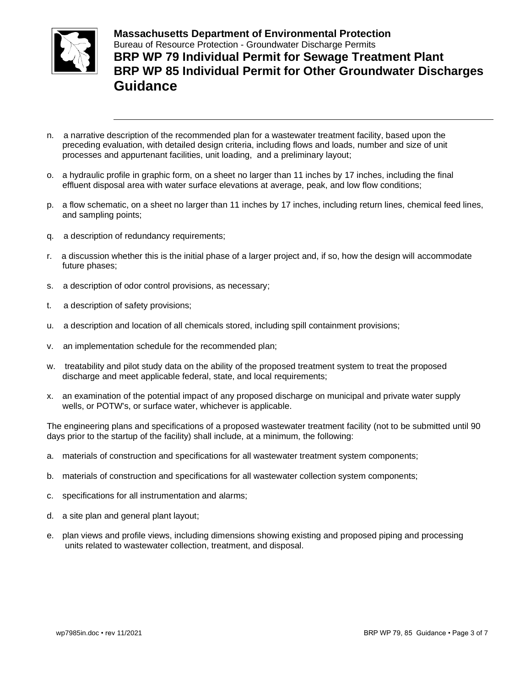

**Massachusetts Department of Environmental Protection**  Bureau of Resource Protection - Groundwater Discharge Permits **BRP WP 79 Individual Permit for Sewage Treatment Plant BRP WP 85 Individual Permit for Other Groundwater Discharges Guidance**

- n. a narrative description of the recommended plan for a wastewater treatment facility, based upon the preceding evaluation, with detailed design criteria, including flows and loads, number and size of unit processes and appurtenant facilities, unit loading, and a preliminary layout;
- o. a hydraulic profile in graphic form, on a sheet no larger than 11 inches by 17 inches, including the final effluent disposal area with water surface elevations at average, peak, and low flow conditions;
- p. a flow schematic, on a sheet no larger than 11 inches by 17 inches, including return lines, chemical feed lines, and sampling points;
- q. a description of redundancy requirements;
- r. a discussion whether this is the initial phase of a larger project and, if so, how the design will accommodate future phases;
- s. a description of odor control provisions, as necessary;
- t. a description of safety provisions;
- u. a description and location of all chemicals stored, including spill containment provisions;
- v. an implementation schedule for the recommended plan;
- w. treatability and pilot study data on the ability of the proposed treatment system to treat the proposed discharge and meet applicable federal, state, and local requirements;
- x. an examination of the potential impact of any proposed discharge on municipal and private water supply wells, or POTW's, or surface water, whichever is applicable.

The engineering plans and specifications of a proposed wastewater treatment facility (not to be submitted until 90 days prior to the startup of the facility) shall include, at a minimum, the following:

- a. materials of construction and specifications for all wastewater treatment system components;
- b. materials of construction and specifications for all wastewater collection system components;
- c. specifications for all instrumentation and alarms;
- d. a site plan and general plant layout;
- e. plan views and profile views, including dimensions showing existing and proposed piping and processing units related to wastewater collection, treatment, and disposal.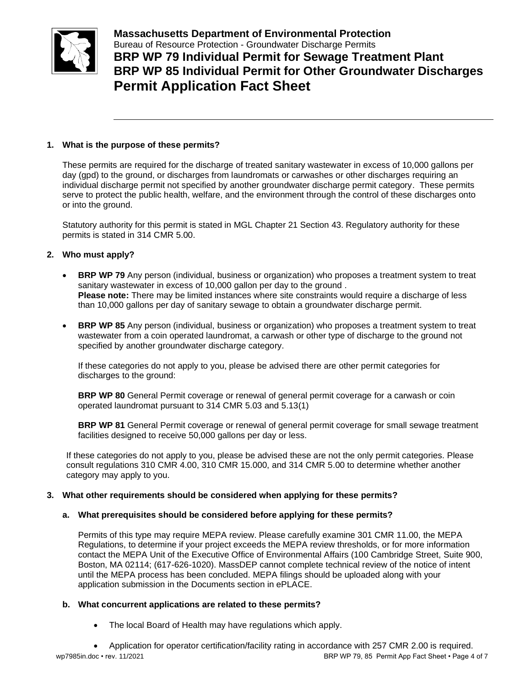

**Massachusetts Department of Environmental Protection**  Bureau of Resource Protection - Groundwater Discharge Permits **BRP WP 79 Individual Permit for Sewage Treatment Plant BRP WP 85 Individual Permit for Other Groundwater Discharges Permit Application Fact Sheet**

# **1. What is the purpose of these permits?**

These permits are required for the discharge of treated sanitary wastewater in excess of 10,000 gallons per day (gpd) to the ground, or discharges from laundromats or carwashes or other discharges requiring an individual discharge permit not specified by another groundwater discharge permit category. These permits serve to protect the public health, welfare, and the environment through the control of these discharges onto or into the ground.

Statutory authority for this permit is stated in MGL Chapter 21 Section 43. Regulatory authority for these permits is stated in 314 CMR 5.00.

# **2. Who must apply?**

- **BRP WP 79** Any person (individual, business or organization) who proposes a treatment system to treat sanitary wastewater in excess of 10,000 gallon per day to the ground . **Please note:** There may be limited instances where site constraints would require a discharge of less than 10,000 gallons per day of sanitary sewage to obtain a groundwater discharge permit.
- **BRP WP 85** Any person (individual, business or organization) who proposes a treatment system to treat wastewater from a coin operated laundromat, a carwash or other type of discharge to the ground not specified by another groundwater discharge category.

If these categories do not apply to you, please be advised there are other permit categories for discharges to the ground:

**BRP WP 80** General Permit coverage or renewal of general permit coverage for a carwash or coin operated laundromat pursuant to 314 CMR 5.03 and 5.13(1)

**BRP WP 81** General Permit coverage or renewal of general permit coverage for small sewage treatment facilities designed to receive 50,000 gallons per day or less.

If these categories do not apply to you, please be advised these are not the only permit categories. Please consult regulations 310 CMR 4.00, 310 CMR 15.000, and 314 CMR 5.00 to determine whether another category may apply to you.

### **3. What other requirements should be considered when applying for these permits?**

### **a. What prerequisites should be considered before applying for these permits?**

Permits of this type may require MEPA review. Please carefully examine 301 CMR 11.00, the MEPA Regulations, to determine if your project exceeds the MEPA review thresholds, or for more information contact the MEPA Unit of the Executive Office of Environmental Affairs (100 Cambridge Street, Suite 900, Boston, MA 02114; (617-626-1020). MassDEP cannot complete technical review of the notice of intent until the MEPA process has been concluded. MEPA filings should be uploaded along with your application submission in the Documents section in ePLACE.

# **b. What concurrent applications are related to these permits?**

• The local Board of Health may have regulations which apply.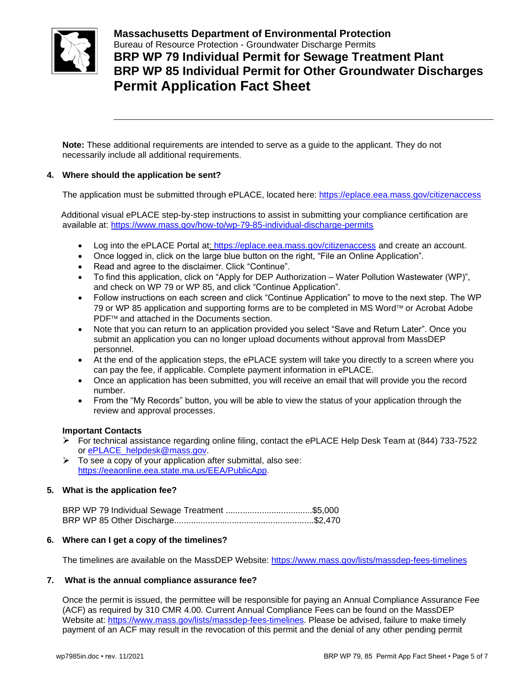

**Massachusetts Department of Environmental Protection**  Bureau of Resource Protection - Groundwater Discharge Permits **BRP WP 79 Individual Permit for Sewage Treatment Plant BRP WP 85 Individual Permit for Other Groundwater Discharges Permit Application Fact Sheet**

**Note:** These additional requirements are intended to serve as a guide to the applicant. They do not necessarily include all additional requirements.

# **4. Where should the application be sent?**

The application must be submitted through ePLACE, located here: <https://eplace.eea.mass.gov/citizenaccess>

 Additional visual ePLACE step-by-step instructions to assist in submitting your compliance certification are available at: <https://www.mass.gov/how-to/wp-79-85-individual-discharge-permits>

- Log into the ePLACE Portal at: https://eplace.eea.mass.gov/citizenaccess and create an account.
- Once logged in, click on the large blue button on the right, "File an Online Application".
- Read and agree to the disclaimer. Click "Continue".
- To find this application, click on "Apply for DEP Authorization Water Pollution Wastewater (WP)", and check on WP 79 or WP 85, and click "Continue Application".
- Follow instructions on each screen and click "Continue Application" to move to the next step. The WP 79 or WP 85 application and supporting forms are to be completed in MS Word™ or Acrobat Adobe PDF<sup>™</sup> and attached in the Documents section.
- Note that you can return to an application provided you select "Save and Return Later". Once you submit an application you can no longer upload documents without approval from MassDEP personnel.
- At the end of the application steps, the ePLACE system will take you directly to a screen where you can pay the fee, if applicable. Complete payment information in ePLACE.
- Once an application has been submitted, you will receive an email that will provide you the record number.
- From the "My Records" button, you will be able to view the status of your application through the review and approval processes.

### **Important Contacts**

- For technical assistance regarding online filing, contact the ePLACE Help Desk Team at  $(844)$  733-7522 or ePLACE\_helpdesk@mass.gov.
- $\triangleright$  To see a copy of your application after submittal, also see: [https://eeaonline.eea.state.ma.us/EEA/PublicApp.](https://eeaonline.eea.state.ma.us/EEA/PublicApp)

# **5. What is the application fee?**

|  | BRP WP 79 Individual Sewage Treatment \$5,000 |  |
|--|-----------------------------------------------|--|
|  |                                               |  |

### **6. Where can I get a copy of the timelines?**

The timelines are available on the MassDEP Website:<https://www.mass.gov/lists/massdep-fees-timelines>

### **7. What is the annual compliance assurance fee?**

Once the permit is issued, the permittee will be responsible for paying an Annual Compliance Assurance Fee (ACF) as required by 310 CMR 4.00. Current Annual Compliance Fees can be found on the MassDEP Website at: [https://www.mass.gov/lists/massdep-fees-timelines.](https://www.mass.gov/lists/massdep-fees-timelines) Please be advised, failure to make timely payment of an ACF may result in the revocation of this permit and the denial of any other pending permit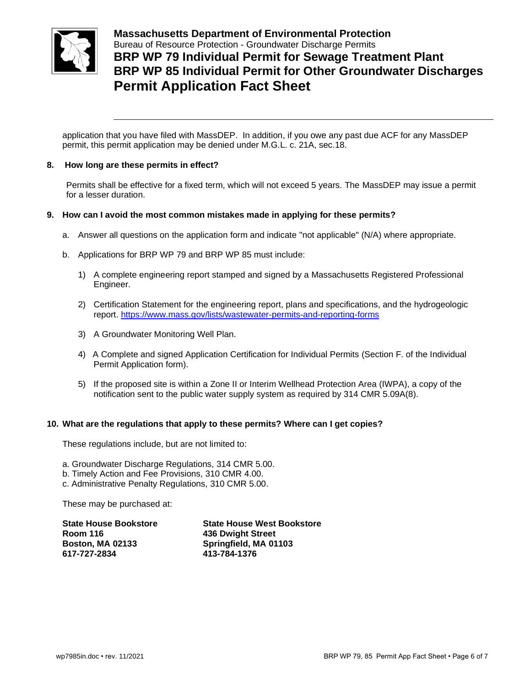

**Massachusetts Department of Environmental Protection**  Bureau of Resource Protection - Groundwater Discharge Permits **BRP WP 79 Individual Permit for Sewage Treatment Plant BRP WP 85 Individual Permit for Other Groundwater Discharges Permit Application Fact Sheet**

application that you have filed with MassDEP. In addition, if you owe any past due ACF for any MassDEP permit, this permit application may be denied under M.G.L. c. 21A, sec.18.

### **8. How long are these permits in effect?**

Permits shall be effective for a fixed term, which will not exceed 5 years. The MassDEP may issue a permit for a lesser duration.

# **9. How can I avoid the most common mistakes made in applying for these permits?**

- a. Answer all questions on the application form and indicate "not applicable" (N/A) where appropriate.
- b. Applications for BRP WP 79 and BRP WP 85 must include:
	- 1) A complete engineering report stamped and signed by a Massachusetts Registered Professional Engineer.
	- 2) Certification Statement for the engineering report, plans and specifications, and the hydrogeologic report. <https://www.mass.gov/lists/wastewater-permits-and-reporting-forms>
	- 3) A Groundwater Monitoring Well Plan.
	- 4) A Complete and signed Application Certification for Individual Permits (Section F. of the Individual Permit Application form).
	- 5) If the proposed site is within a Zone II or Interim Wellhead Protection Area (IWPA), a copy of the notification sent to the public water supply system as required by 314 CMR 5.09A(8).

### **10. What are the regulations that apply to these permits? Where can I get copies?**

These regulations include, but are not limited to:

- a. Groundwater Discharge Regulations, 314 CMR 5.00.
- b. Timely Action and Fee Provisions, 310 CMR 4.00.
- c. Administrative Penalty Regulations, 310 CMR 5.00.

These may be purchased at:

| <b>State House West Bookstore</b> |  |
|-----------------------------------|--|
| 436 Dwight Street                 |  |
| Springfield, MA 01103             |  |
| 413-784-1376                      |  |
|                                   |  |